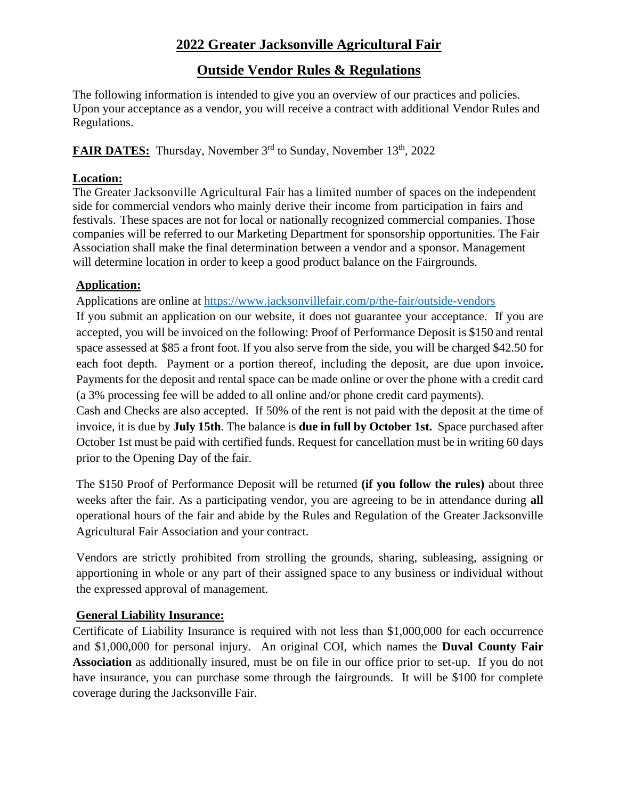# **2022 Greater Jacksonville Agricultural Fair**

# **Outside Vendor Rules & Regulations**

The following information is intended to give you an overview of our practices and policies. Upon your acceptance as a vendor, you will receive a contract with additional Vendor Rules and Regulations.

FAIR DATES: Thursday, November 3<sup>rd</sup> to Sunday, November 13<sup>th</sup>, 2022

## **Location:**

The Greater Jacksonville Agricultural Fair has a limited number of spaces on the independent side for commercial vendors who mainly derive their income from participation in fairs and festivals. These spaces are not for local or nationally recognized commercial companies. Those companies will be referred to our Marketing Department for sponsorship opportunities. The Fair Association shall make the final determination between a vendor and a sponsor. Management will determine location in order to keep a good product balance on the Fairgrounds.

## **Application:**

Applications are online at https://www.jacksonvillefair.com/p/the-fair/outside-vendors

If you submit an application on our website, it does not guarantee your acceptance.If you are accepted, you will be invoiced on the following: Proof of Performance Deposit is \$150 and rental space assessed at \$85 a front foot. If you also serve from the side, you will be charged \$42.50 for each foot depth. Payment or a portion thereof, including the deposit, are due upon invoice**.**  Payments for the deposit and rental space can be made online or over the phone with a credit card (a 3% processing fee will be added to all online and/or phone credit card payments).

Cash and Checks are also accepted. If 50% of the rent is not paid with the deposit at the time of invoice, it is due by **July 15th**. The balance is **due in full by October 1st.** Space purchased after October 1st must be paid with certified funds. Request for cancellation must be in writing 60 days prior to the Opening Day of the fair.

The \$150 Proof of Performance Deposit will be returned **(if you follow the rules)** about three weeks after the fair. As a participating vendor, you are agreeing to be in attendance during **all** operational hours of the fair and abide by the Rules and Regulation of the Greater Jacksonville Agricultural Fair Association and your contract.

Vendors are strictly prohibited from strolling the grounds, sharing, subleasing, assigning or apportioning in whole or any part of their assigned space to any business or individual without the expressed approval of management.

# **General Liability Insurance:**

Certificate of Liability Insurance is required with not less than \$1,000,000 for each occurrence and \$1,000,000 for personal injury. An original COI, which names the **Duval County Fair Association** as additionally insured, must be on file in our office prior to set-up. If you do not have insurance, you can purchase some through the fairgrounds. It will be \$100 for complete coverage during the Jacksonville Fair.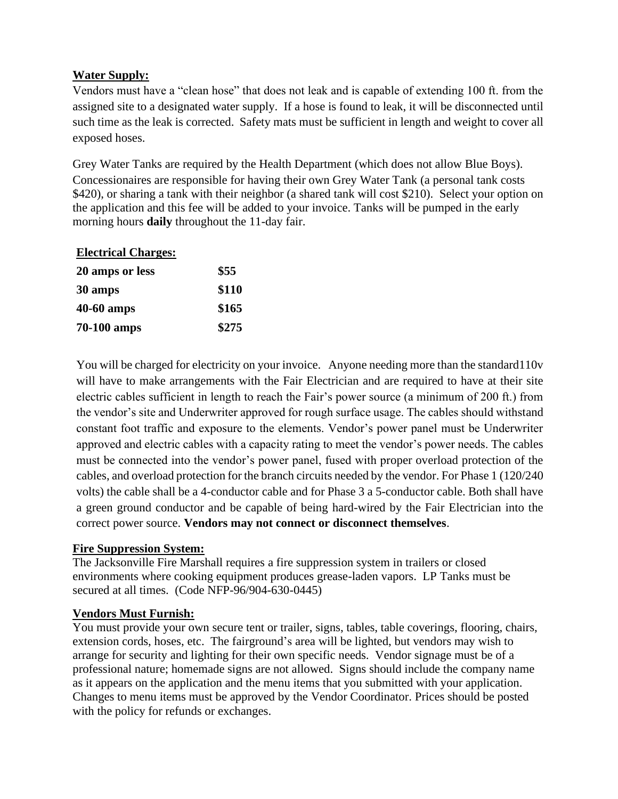## **Water Supply:**

Vendors must have a "clean hose" that does not leak and is capable of extending 100 ft. from the assigned site to a designated water supply. If a hose is found to leak, it will be disconnected until such time as the leak is corrected. Safety mats must be sufficient in length and weight to cover all exposed hoses.

Grey Water Tanks are required by the Health Department (which does not allow Blue Boys). Concessionaires are responsible for having their own Grey Water Tank (a personal tank costs \$420), or sharing a tank with their neighbor (a shared tank will cost \$210). Select your option on the application and this fee will be added to your invoice. Tanks will be pumped in the early morning hours **daily** throughout the 11-day fair.

| <b>Electrical Charges:</b> |       |  |
|----------------------------|-------|--|
| 20 amps or less            | \$55  |  |
| 30 amps                    | \$110 |  |
| 40-60 amps                 | \$165 |  |
| 70-100 amps                | \$275 |  |

You will be charged for electricity on your invoice. Anyone needing more than the standard 110v will have to make arrangements with the Fair Electrician and are required to have at their site electric cables sufficient in length to reach the Fair's power source (a minimum of 200 ft.) from the vendor's site and Underwriter approved for rough surface usage. The cables should withstand constant foot traffic and exposure to the elements. Vendor's power panel must be Underwriter approved and electric cables with a capacity rating to meet the vendor's power needs. The cables must be connected into the vendor's power panel, fused with proper overload protection of the cables, and overload protection for the branch circuits needed by the vendor. For Phase 1 (120/240 volts) the cable shall be a 4-conductor cable and for Phase 3 a 5-conductor cable. Both shall have a green ground conductor and be capable of being hard-wired by the Fair Electrician into the correct power source. **Vendors may not connect or disconnect themselves**.

### **Fire Suppression System:**

The Jacksonville Fire Marshall requires a fire suppression system in trailers or closed environments where cooking equipment produces grease-laden vapors. LP Tanks must be secured at all times. (Code NFP-96/904-630-0445)

### **Vendors Must Furnish:**

You must provide your own secure tent or trailer, signs, tables, table coverings, flooring, chairs, extension cords, hoses, etc. The fairground's area will be lighted, but vendors may wish to arrange for security and lighting for their own specific needs. Vendor signage must be of a professional nature; homemade signs are not allowed. Signs should include the company name as it appears on the application and the menu items that you submitted with your application. Changes to menu items must be approved by the Vendor Coordinator. Prices should be posted with the policy for refunds or exchanges.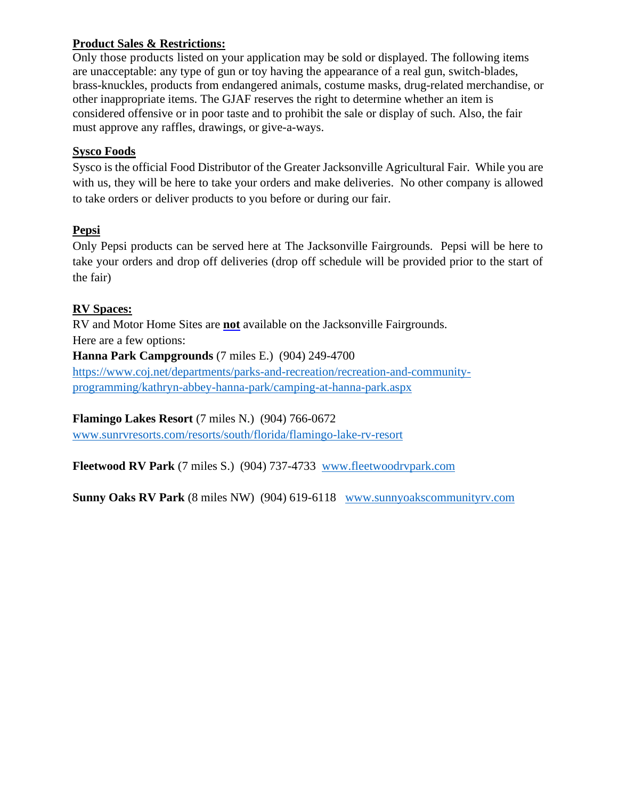### **Product Sales & Restrictions:**

Only those products listed on your application may be sold or displayed. The following items are unacceptable: any type of gun or toy having the appearance of a real gun, switch-blades, brass-knuckles, products from endangered animals, costume masks, drug-related merchandise, or other inappropriate items. The GJAF reserves the right to determine whether an item is considered offensive or in poor taste and to prohibit the sale or display of such. Also, the fair must approve any raffles, drawings, or give-a-ways.

### **Sysco Foods**

Sysco is the official Food Distributor of the Greater Jacksonville Agricultural Fair. While you are with us, they will be here to take your orders and make deliveries. No other company is allowed to take orders or deliver products to you before or during our fair.

### **Pepsi**

Only Pepsi products can be served here at The Jacksonville Fairgrounds. Pepsi will be here to take your orders and drop off deliveries (drop off schedule will be provided prior to the start of the fair)

### **RV Spaces:**

RV and Motor Home Sites are **not** available on the Jacksonville Fairgrounds.

Here are a few options:

### **Hanna Park Campgrounds** (7 miles E.) (904) 249-4700

[https://www.coj.net/departments/parks-and-recreation/recreation-and-community](https://www.coj.net/departments/parks-and-recreation/recreation-and-community-programming/kathryn-abbey-hanna-park/camping-at-hanna-park.aspx)[programming/kathryn-abbey-hanna-park/camping-at-hanna-park.aspx](https://www.coj.net/departments/parks-and-recreation/recreation-and-community-programming/kathryn-abbey-hanna-park/camping-at-hanna-park.aspx)

### **Flamingo Lakes Resort** (7 miles N.) (904) 766-0672

[www.sunrvresorts.com/resorts/south/florida/flamingo-lake-rv-resort](http://www.sunrvresorts.com/resorts/south/florida/flamingo-lake-rv-resort)

**Fleetwood RV Park** (7 miles S.) (904) 737-4733 [www.fleetwoodrvpark.com](http://www.fleetwoodrvpark.com/)

**Sunny Oaks RV Park** (8 miles NW) (904) 619-6118 [www.sunnyoakscommunityrv.com](http://www.sunnyoakscommunityrv.com/)